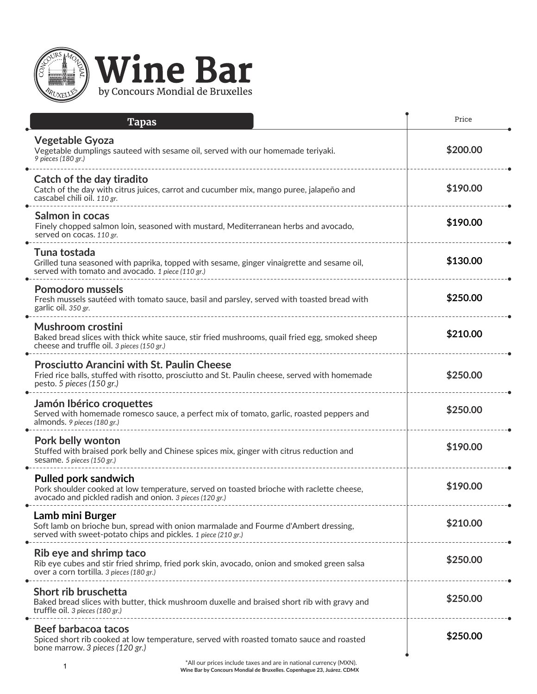

| <b>Tapas</b>                                                                                                                                                                                                 | Price    |
|--------------------------------------------------------------------------------------------------------------------------------------------------------------------------------------------------------------|----------|
| <b>Vegetable Gyoza</b><br>Vegetable dumplings sauteed with sesame oil, served with our homemade teriyaki.<br>9 pieces (180 gr.)                                                                              | \$200.00 |
| Catch of the day tiradito<br>Catch of the day with citrus juices, carrot and cucumber mix, mango puree, jalapeño and<br>cascabel chili oil. 110 gr.                                                          | \$190.00 |
| Salmon in cocas<br>Finely chopped salmon loin, seasoned with mustard, Mediterranean herbs and avocado,<br>served on cocas. 110 gr.                                                                           | \$190.00 |
| Tuna tostada<br>Grilled tuna seasoned with paprika, topped with sesame, ginger vinaigrette and sesame oil,<br>served with tomato and avocado. 1 piece (110 gr.)                                              | \$130.00 |
| <b>Pomodoro mussels</b><br>Fresh mussels sautéed with tomato sauce, basil and parsley, served with toasted bread with<br>garlic oil. 350 gr.                                                                 | \$250.00 |
| Mushroom crostini<br>Baked bread slices with thick white sauce, stir fried mushrooms, quail fried egg, smoked sheep<br>cheese and truffle oil. 3 pieces (150 gr.)                                            | \$210.00 |
| <b>Prosciutto Arancini with St. Paulin Cheese</b><br>Fried rice balls, stuffed with risotto, prosciutto and St. Paulin cheese, served with homemade<br>pesto. 5 pieces (150 gr.)                             | \$250.00 |
| Jamón Ibérico croquettes<br>Served with homemade romesco sauce, a perfect mix of tomato, garlic, roasted peppers and<br>almonds. 9 pieces (180 gr.)                                                          | \$250.00 |
| Pork belly wonton<br>Stuffed with braised pork belly and Chinese spices mix, ginger with citrus reduction and<br>sesame. 5 pieces (150 gr.)                                                                  | \$190.00 |
| <b>Pulled pork sandwich</b><br>Pork shoulder cooked at low temperature, served on toasted brioche with raclette cheese,<br>avocado and pickled radish and onion. 3 pieces (120 gr.)                          | \$190.00 |
| Lamb mini Burger<br>Soft lamb on brioche bun, spread with onion marmalade and Fourme d'Ambert dressing,<br>served with sweet-potato chips and pickles. 1 piece (210 gr.)<br>-------------------------------- | \$210.00 |
| Rib eye and shrimp taco<br>Rib eye cubes and stir fried shrimp, fried pork skin, avocado, onion and smoked green salsa<br>over a corn tortilla. 3 pieces (180 gr.)                                           | \$250.00 |
| Short rib bruschetta<br>Baked bread slices with butter, thick mushroom duxelle and braised short rib with gravy and<br>truffle oil. 3 pieces (180 gr.)                                                       | \$250.00 |
| Beef barbacoa tacos<br>Spiced short rib cooked at low temperature, served with roasted tomato sauce and roasted<br>bone marrow. 3 pieces (120 gr.)                                                           | \$250.00 |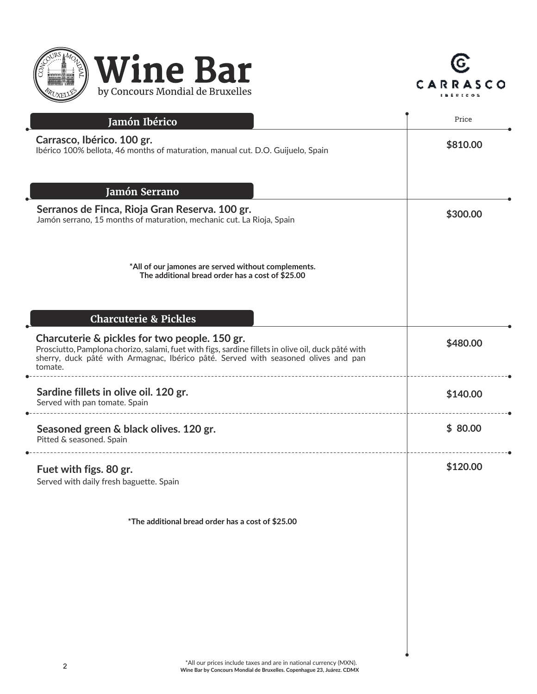



| Jamón Ibérico                                                                                                                                                                                                                                        | Price    |
|------------------------------------------------------------------------------------------------------------------------------------------------------------------------------------------------------------------------------------------------------|----------|
| Carrasco, Ibérico. 100 gr.<br>Ibérico 100% bellota, 46 months of maturation, manual cut. D.O. Guijuelo, Spain                                                                                                                                        | \$810.00 |
| Jamón Serrano                                                                                                                                                                                                                                        |          |
| Serranos de Finca, Rioja Gran Reserva. 100 gr.<br>Jamón serrano, 15 months of maturation, mechanic cut. La Rioja, Spain                                                                                                                              | \$300.00 |
| *All of our jamones are served without complements.<br>The additional bread order has a cost of \$25.00                                                                                                                                              |          |
| <b>Charcuterie &amp; Pickles</b>                                                                                                                                                                                                                     |          |
| Charcuterie & pickles for two people. 150 gr.<br>Prosciutto, Pamplona chorizo, salami, fuet with figs, sardine fillets in olive oil, duck pâté with<br>sherry, duck pâté with Armagnac, Ibérico pâté. Served with seasoned olives and pan<br>tomate. | \$480.00 |
| Sardine fillets in olive oil. 120 gr.<br>Served with pan tomate. Spain                                                                                                                                                                               | \$140.00 |
| Seasoned green & black olives. 120 gr.<br>Pitted & seasoned. Spain                                                                                                                                                                                   | \$80.00  |
| Fuet with figs. 80 gr.<br>Served with daily fresh baguette. Spain                                                                                                                                                                                    | \$120.00 |
| *The additional bread order has a cost of \$25.00                                                                                                                                                                                                    |          |
|                                                                                                                                                                                                                                                      |          |
|                                                                                                                                                                                                                                                      |          |
|                                                                                                                                                                                                                                                      |          |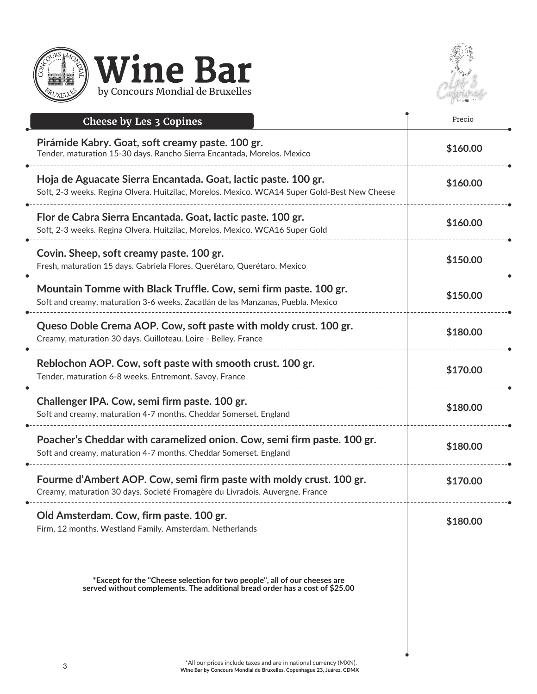



| Cheese by Les 3 Copines                                                                                                                                        | Precio   |
|----------------------------------------------------------------------------------------------------------------------------------------------------------------|----------|
| Pirámide Kabry. Goat, soft creamy paste. 100 gr.<br>Tender, maturation 15-30 days. Rancho Sierra Encantada, Morelos. Mexico                                    | \$160.00 |
| Hoja de Aguacate Sierra Encantada. Goat, lactic paste. 100 gr.<br>Soft, 2-3 weeks. Regina Olvera. Huitzilac, Morelos. Mexico. WCA14 Super Gold-Best New Cheese | \$160.00 |
| Flor de Cabra Sierra Encantada. Goat, lactic paste. 100 gr.<br>Soft, 2-3 weeks. Regina Olvera. Huitzilac, Morelos. Mexico. WCA16 Super Gold                    | \$160.00 |
| Covin. Sheep, soft creamy paste. 100 gr.<br>Fresh, maturation 15 days. Gabriela Flores. Querétaro, Querétaro. Mexico                                           | \$150.00 |
| Mountain Tomme with Black Truffle. Cow, semi firm paste. 100 gr.<br>Soft and creamy, maturation 3-6 weeks. Zacatlán de las Manzanas, Puebla. Mexico            | \$150.00 |
| Queso Doble Crema AOP. Cow, soft paste with moldy crust. 100 gr.<br>Creamy, maturation 30 days. Guilloteau. Loire - Belley. France                             | \$180.00 |
| Reblochon AOP. Cow, soft paste with smooth crust. 100 gr.<br>Tender, maturation 6-8 weeks. Entremont. Savoy. France                                            | \$170.00 |
| Challenger IPA. Cow, semi firm paste. 100 gr.<br>Soft and creamy, maturation 4-7 months. Cheddar Somerset. England                                             | \$180.00 |
| Poacher's Cheddar with caramelized onion. Cow, semi firm paste. 100 gr.<br>Soft and creamy, maturation 4-7 months. Cheddar Somerset. England                   | \$180.00 |
| Fourme d'Ambert AOP. Cow, semi firm paste with moldy crust. 100 gr.<br>Creamy, maturation 30 days. Societé Fromagère du Livradois. Auvergne. France            | \$170.00 |
| Old Amsterdam. Cow, firm paste. 100 gr.<br>Firm, 12 months. Westland Family. Amsterdam. Netherlands                                                            | \$180.00 |
| *Except for the "Cheese selection for two people", all of our cheeses are<br>served without complements. The additional bread order has a cost of \$25.00      |          |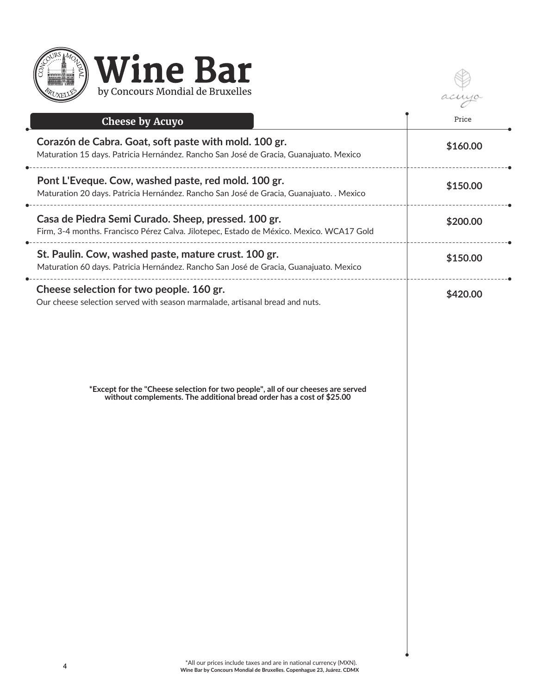

 $10-$ 

| <b>Cheese by Acuyo</b>                                                                                                                                    | Price    |
|-----------------------------------------------------------------------------------------------------------------------------------------------------------|----------|
| Corazón de Cabra. Goat, soft paste with mold. 100 gr.<br>Maturation 15 days. Patricia Hernández. Rancho San José de Gracia, Guanajuato. Mexico            | \$160.00 |
| Pont L'Eveque. Cow, washed paste, red mold. 100 gr.<br>Maturation 20 days. Patricia Hernández. Rancho San José de Gracia, Guanajuato. . Mexico            | \$150.00 |
| Casa de Piedra Semi Curado. Sheep, pressed. 100 gr.<br>Firm, 3-4 months. Francisco Pérez Calva. Jilotepec, Estado de México. Mexico. WCA17 Gold           | \$200.00 |
| St. Paulin. Cow, washed paste, mature crust. 100 gr.<br>Maturation 60 days. Patricia Hernández. Rancho San José de Gracia, Guanajuato. Mexico             | \$150.00 |
| Cheese selection for two people. 160 gr.<br>Our cheese selection served with season marmalade, artisanal bread and nuts.                                  | \$420.00 |
| *Except for the "Cheese selection for two people", all of our cheeses are served<br>without complements. The additional bread order has a cost of \$25.00 |          |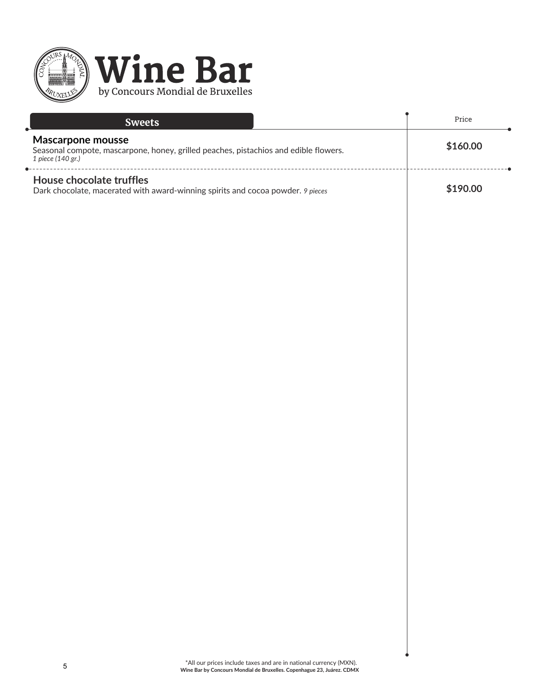

| <b>Sweets</b>                                                                                                                  | Price    |
|--------------------------------------------------------------------------------------------------------------------------------|----------|
| Mascarpone mousse<br>Seasonal compote, mascarpone, honey, grilled peaches, pistachios and edible flowers.<br>1 piece (140 gr.) | \$160.00 |
| House chocolate truffles<br>Dark chocolate, macerated with award-winning spirits and cocoa powder. 9 pieces                    | \$190.00 |